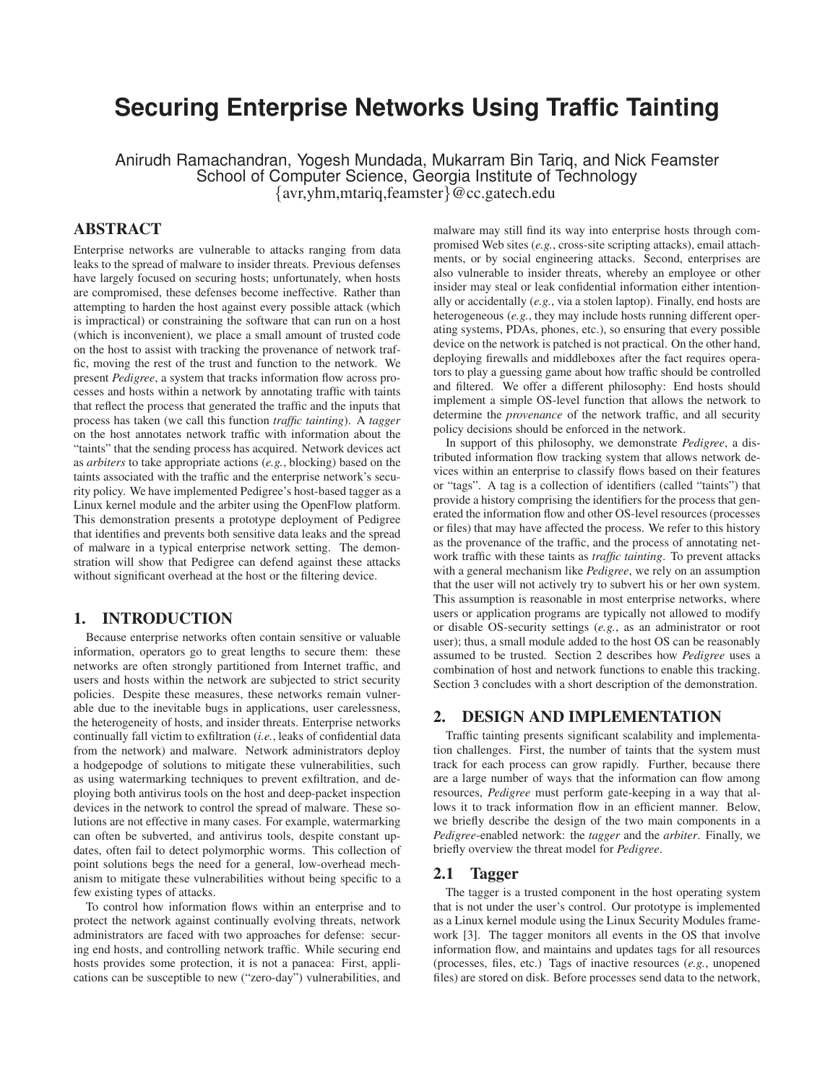# **Securing Enterprise Networks Using Traffic Tainting**

Anirudh Ramachandran, Yogesh Mundada, Mukarram Bin Tariq, and Nick Feamster School of Computer Science, Georgia Institute of Technology {avr,yhm,mtariq,feamster}@cc.gatech.edu

# **ABSTRACT**

Enterprise networks are vulnerable to attacks ranging from data leaks to the spread of malware to insider threats. Previous defenses have largely focused on securing hosts; unfortunately, when hosts are compromised, these defenses become ineffective. Rather than attempting to harden the host against every possible attack (which is impractical) or constraining the software that can run on a host (which is inconvenient), we place a small amount of trusted code on the host to assist with tracking the provenance of network traffic, moving the rest of the trust and function to the network. We present *Pedigree*, a system that tracks information flow across processes and hosts within a network by annotating traffic with taints that reflect the process that generated the traffic and the inputs that process has taken (we call this function *traffic tainting*). A *tagger* on the host annotates network traffic with information about the "taints" that the sending process has acquired. Network devices act as *arbiters* to take appropriate actions (*e.g.*, blocking) based on the taints associated with the traffic and the enterprise network's security policy. We have implemented Pedigree's host-based tagger as a Linux kernel module and the arbiter using the OpenFlow platform. This demonstration presents a prototype deployment of Pedigree that identifies and prevents both sensitive data leaks and the spread of malware in a typical enterprise network setting. The demonstration will show that Pedigree can defend against these attacks without significant overhead at the host or the filtering device.

# **1. INTRODUCTION**

Because enterprise networks often contain sensitive or valuable information, operators go to great lengths to secure them: these networks are often strongly partitioned from Internet traffic, and users and hosts within the network are subjected to strict security policies. Despite these measures, these networks remain vulnerable due to the inevitable bugs in applications, user carelessness, the heterogeneity of hosts, and insider threats. Enterprise networks continually fall victim to exfiltration (*i.e.*, leaks of confidential data from the network) and malware. Network administrators deploy a hodgepodge of solutions to mitigate these vulnerabilities, such as using watermarking techniques to prevent exfiltration, and deploying both antivirus tools on the host and deep-packet inspection devices in the network to control the spread of malware. These solutions are not effective in many cases. For example, watermarking can often be subverted, and antivirus tools, despite constant updates, often fail to detect polymorphic worms. This collection of point solutions begs the need for a general, low-overhead mechanism to mitigate these vulnerabilities without being specific to a few existing types of attacks.

To control how information flows within an enterprise and to protect the network against continually evolving threats, network administrators are faced with two approaches for defense: securing end hosts, and controlling network traffic. While securing end hosts provides some protection, it is not a panacea: First, applications can be susceptible to new ("zero-day") vulnerabilities, and malware may still find its way into enterprise hosts through compromised Web sites (*e.g.*, cross-site scripting attacks), email attachments, or by social engineering attacks. Second, enterprises are also vulnerable to insider threats, whereby an employee or other insider may steal or leak confidential information either intentionally or accidentally (*e.g.*, via a stolen laptop). Finally, end hosts are heterogeneous (*e.g.*, they may include hosts running different operating systems, PDAs, phones, etc.), so ensuring that every possible device on the network is patched is not practical. On the other hand, deploying firewalls and middleboxes after the fact requires operators to play a guessing game about how traffic should be controlled and filtered. We offer a different philosophy: End hosts should implement a simple OS-level function that allows the network to determine the *provenance* of the network traffic, and all security policy decisions should be enforced in the network.

In support of this philosophy, we demonstrate *Pedigree*, a distributed information flow tracking system that allows network devices within an enterprise to classify flows based on their features or "tags". A tag is a collection of identifiers (called "taints") that provide a history comprising the identifiers for the process that generated the information flow and other OS-level resources (processes or files) that may have affected the process. We refer to this history as the provenance of the traffic, and the process of annotating network traffic with these taints as *traffic tainting*. To prevent attacks with a general mechanism like *Pedigree*, we rely on an assumption that the user will not actively try to subvert his or her own system. This assumption is reasonable in most enterprise networks, where users or application programs are typically not allowed to modify or disable OS-security settings (*e.g.*, as an administrator or root user); thus, a small module added to the host OS can be reasonably assumed to be trusted. Section 2 describes how *Pedigree* uses a combination of host and network functions to enable this tracking. Section 3 concludes with a short description of the demonstration.

## **2. DESIGN AND IMPLEMENTATION**

Traffic tainting presents significant scalability and implementation challenges. First, the number of taints that the system must track for each process can grow rapidly. Further, because there are a large number of ways that the information can flow among resources, *Pedigree* must perform gate-keeping in a way that allows it to track information flow in an efficient manner. Below, we briefly describe the design of the two main components in a *Pedigree*-enabled network: the *tagger* and the *arbiter*. Finally, we briefly overview the threat model for *Pedigree*.

## **2.1 Tagger**

The tagger is a trusted component in the host operating system that is not under the user's control. Our prototype is implemented as a Linux kernel module using the Linux Security Modules framework [3]. The tagger monitors all events in the OS that involve information flow, and maintains and updates tags for all resources (processes, files, etc.) Tags of inactive resources (*e.g.*, unopened files) are stored on disk. Before processes send data to the network,